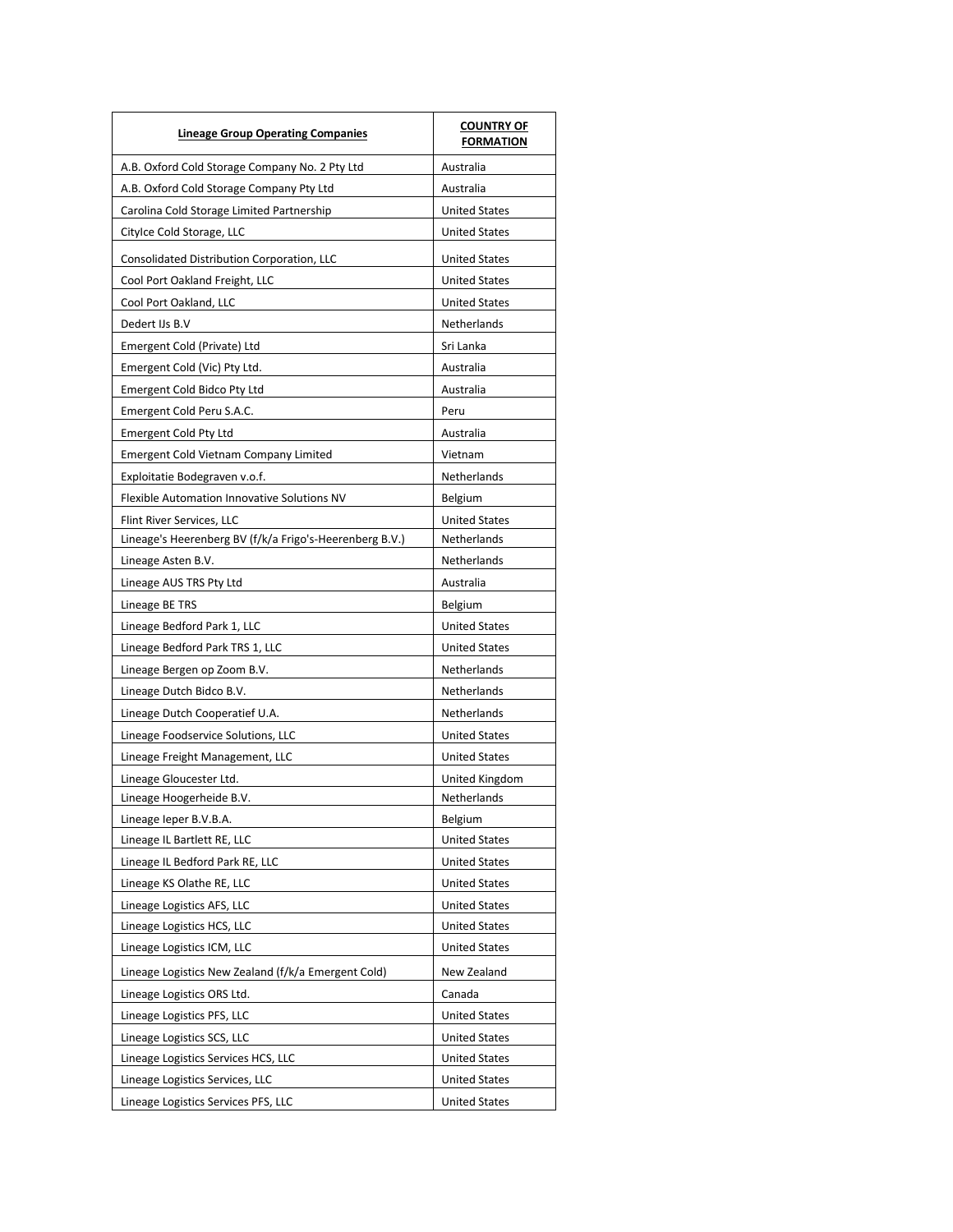| <b>Lineage Group Operating Companies</b>                | <b>COUNTRY OF</b><br><b>FORMATION</b> |
|---------------------------------------------------------|---------------------------------------|
| A.B. Oxford Cold Storage Company No. 2 Pty Ltd          | Australia                             |
| A.B. Oxford Cold Storage Company Pty Ltd                | Australia                             |
| Carolina Cold Storage Limited Partnership               | <b>United States</b>                  |
| Citylce Cold Storage, LLC                               | <b>United States</b>                  |
| Consolidated Distribution Corporation, LLC              | <b>United States</b>                  |
| Cool Port Oakland Freight, LLC                          | <b>United States</b>                  |
| Cool Port Oakland, LLC                                  | <b>United States</b>                  |
| Dedert IJs B.V                                          | Netherlands                           |
| Emergent Cold (Private) Ltd                             | Sri Lanka                             |
| Emergent Cold (Vic) Pty Ltd.                            | Australia                             |
| Emergent Cold Bidco Pty Ltd                             | Australia                             |
| Emergent Cold Peru S.A.C.                               | Peru                                  |
| <b>Emergent Cold Pty Ltd</b>                            | Australia                             |
| <b>Emergent Cold Vietnam Company Limited</b>            | Vietnam                               |
| Exploitatie Bodegraven v.o.f.                           | Netherlands                           |
| Flexible Automation Innovative Solutions NV             | Belgium                               |
| Flint River Services, LLC                               | <b>United States</b>                  |
| Lineage's Heerenberg BV (f/k/a Frigo's-Heerenberg B.V.) | Netherlands                           |
| Lineage Asten B.V.                                      | Netherlands                           |
| Lineage AUS TRS Pty Ltd                                 | Australia                             |
| Lineage BE TRS                                          | Belgium                               |
| Lineage Bedford Park 1, LLC                             | <b>United States</b>                  |
| Lineage Bedford Park TRS 1, LLC                         | <b>United States</b>                  |
| Lineage Bergen op Zoom B.V.                             | Netherlands                           |
| Lineage Dutch Bidco B.V.                                | Netherlands                           |
| Lineage Dutch Cooperatief U.A.                          | Netherlands                           |
| Lineage Foodservice Solutions, LLC                      | <b>United States</b>                  |
| Lineage Freight Management, LLC                         | <b>United States</b>                  |
| Lineage Gloucester Ltd.                                 | United Kingdom                        |
| Lineage Hoogerheide B.V.                                | Netherlands                           |
| Lineage leper B.V.B.A.                                  | Belgium                               |
| Lineage IL Bartlett RE, LLC                             | <b>United States</b>                  |
| Lineage IL Bedford Park RE, LLC                         | <b>United States</b>                  |
| Lineage KS Olathe RE, LLC                               | <b>United States</b>                  |
| Lineage Logistics AFS, LLC                              | <b>United States</b>                  |
| Lineage Logistics HCS, LLC                              | <b>United States</b>                  |
| Lineage Logistics ICM, LLC                              | <b>United States</b>                  |
| Lineage Logistics New Zealand (f/k/a Emergent Cold)     | New Zealand                           |
| Lineage Logistics ORS Ltd.                              | Canada                                |
| Lineage Logistics PFS, LLC                              | <b>United States</b>                  |
| Lineage Logistics SCS, LLC                              | <b>United States</b>                  |
| Lineage Logistics Services HCS, LLC                     | <b>United States</b>                  |
| Lineage Logistics Services, LLC                         | <b>United States</b>                  |
| Lineage Logistics Services PFS, LLC                     | <b>United States</b>                  |